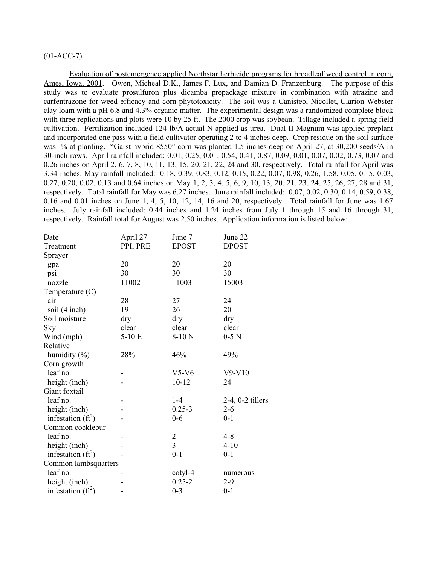# (01-ACC-7)

Evaluation of postemergence applied Northstar herbicide programs for broadleaf weed control in corn, Ames, Iowa, 2001. Owen, Micheal D.K., James F. Lux, and Damian D. Franzenburg. The purpose of this study was to evaluate prosulfuron plus dicamba prepackage mixture in combination with atrazine and carfentrazone for weed efficacy and corn phytotoxicity. The soil was a Canisteo, Nicollet, Clarion Webster clay loam with a pH 6.8 and 4.3% organic matter. The experimental design was a randomized complete block with three replications and plots were 10 by 25 ft. The 2000 crop was soybean. Tillage included a spring field cultivation. Fertilization included 124 lb/A actual N applied as urea. Dual II Magnum was applied preplant and incorporated one pass with a field cultivator operating 2 to 4 inches deep. Crop residue on the soil surface was % at planting. "Garst hybrid 8550" corn was planted 1.5 inches deep on April 27, at 30,200 seeds/A in 30-inch rows. April rainfall included: 0.01, 0.25, 0.01, 0.54, 0.41, 0.87, 0.09, 0.01, 0.07, 0.02, 0.73, 0.07 and 0.26 inches on April 2, 6, 7, 8, 10, 11, 13, 15, 20, 21, 22, 24 and 30, respectively. Total rainfall for April was 3.34 inches. May rainfall included: 0.18, 0.39, 0.83, 0.12, 0.15, 0.22, 0.07, 0.98, 0.26, 1.58, 0.05, 0.15, 0.03, 0.27, 0.20, 0.02, 0.13 and 0.64 inches on May 1, 2, 3, 4, 5, 6, 9, 10, 13, 20, 21, 23, 24, 25, 26, 27, 28 and 31, respectively. Total rainfall for May was 6.27 inches. June rainfall included: 0.07, 0.02, 0.30, 0.14, 0.59, 0.38, 0.16 and 0.01 inches on June 1, 4, 5, 10, 12, 14, 16 and 20, respectively. Total rainfall for June was 1.67 inches. July rainfall included: 0.44 inches and 1.24 inches from July 1 through 15 and 16 through 31, respectively. Rainfall total for August was 2.50 inches. Application information is listed below:

| Date                 | April 27 | June 7         | June 22               |
|----------------------|----------|----------------|-----------------------|
| Treatment            | PPI, PRE | <b>EPOST</b>   | <b>DPOST</b>          |
| Sprayer              |          |                |                       |
| gpa                  | 20       | 20             | 20                    |
| psi                  | 30       | 30             | 30                    |
| nozzle               | 11002    | 11003          | 15003                 |
| Temperature $(C)$    |          |                |                       |
| air                  | 28       | 27             | 24                    |
| soil (4 inch)        | 19       | 26             | 20                    |
| Soil moisture        | dry      | dry            | dry                   |
| Sky                  | clear    | clear          | clear                 |
| Wind (mph)           | $5-10E$  | $8-10$ N       | $0-5$ N               |
| Relative             |          |                |                       |
| humidity $(\% )$     | 28%      | 46%            | 49%                   |
| Corn growth          |          |                |                       |
| leaf no.             |          | $V5-V6$        | $V9-V10$              |
| height (inch)        |          | $10 - 12$      | 24                    |
| Giant foxtail        |          |                |                       |
| leaf no.             |          | $1-4$          | $2-4$ , $0-2$ tillers |
| height (inch)        |          | $0.25 - 3$     | $2 - 6$               |
| infestation $(ft^2)$ |          | $0 - 6$        | $0 - 1$               |
| Common cocklebur     |          |                |                       |
| leaf no.             |          | $\overline{c}$ | $4 - 8$               |
| height (inch)        |          | $\overline{3}$ | $4 - 10$              |
| infestation $(ft^2)$ |          | $0 - 1$        | $0 - 1$               |
| Common lambsquarters |          |                |                       |
| leaf no.             |          | cotyl-4        | numerous              |
| height (inch)        |          | $0.25 - 2$     | $2 - 9$               |
| infestation $(ft^2)$ |          | $0 - 3$        | $0 - 1$               |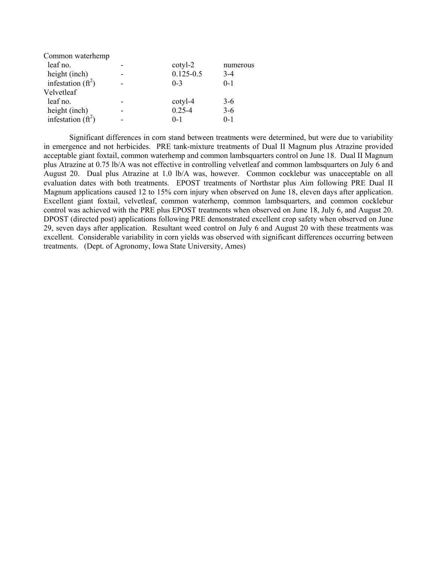| Common waterhemp     |               |          |
|----------------------|---------------|----------|
| leaf no.             | cotyl-2       | numerous |
| height (inch)        | $0.125 - 0.5$ | $3-4$    |
| infestation $(ft^2)$ | $0-3$         | $0 - 1$  |
| Velvetleaf           |               |          |
| leaf no.             | cotyl-4       | $3-6$    |
| height (inch)        | $0.25 - 4$    | $3 - 6$  |
| infestation $(ft^2)$ | $0 - 1$       | $0 - 1$  |

Significant differences in corn stand between treatments were determined, but were due to variability in emergence and not herbicides. PRE tank-mixture treatments of Dual II Magnum plus Atrazine provided acceptable giant foxtail, common waterhemp and common lambsquarters control on June 18. Dual II Magnum plus Atrazine at 0.75 lb/A was not effective in controlling velvetleaf and common lambsquarters on July 6 and August 20. Dual plus Atrazine at 1.0 lb/A was, however. Common cocklebur was unacceptable on all evaluation dates with both treatments. EPOST treatments of Northstar plus Aim following PRE Dual II Magnum applications caused 12 to 15% corn injury when observed on June 18, eleven days after application. Excellent giant foxtail, velvetleaf, common waterhemp, common lambsquarters, and common cocklebur control was achieved with the PRE plus EPOST treatments when observed on June 18, July 6, and August 20. DPOST (directed post) applications following PRE demonstrated excellent crop safety when observed on June 29, seven days after application. Resultant weed control on July 6 and August 20 with these treatments was excellent. Considerable variability in corn yields was observed with significant differences occurring between treatments. (Dept. of Agronomy, Iowa State University, Ames)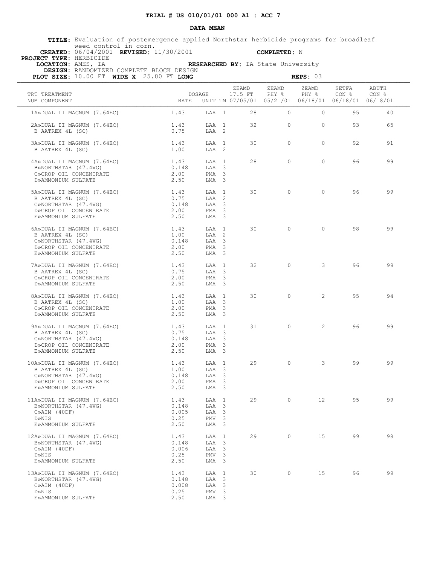### **DATA MEAN**

 **TITLE:** Evaluation of postemergence applied Northstar herbicide programs for broadleaf weed control in corn.  **CREATED:** 06/04/2001 **REVISED:** 11/30/2001 **COMPLETED:** N

 **PROJECT TYPE:** HERBICIDE

 **DESIGN:** RANDOMIZED COMPLETE BLOCK DESIGN

 **LOCATION:** AMES, IA **RESEARCHED BY:** IA State University

| PLOT SIZE: 10.00 FT WIDE X 25.00 FT LONG                                                                                |                                               |                                                                        |                                                                          |                | REPS: 03          |                           |                |
|-------------------------------------------------------------------------------------------------------------------------|-----------------------------------------------|------------------------------------------------------------------------|--------------------------------------------------------------------------|----------------|-------------------|---------------------------|----------------|
| TRT TREATMENT<br>NUM COMPONENT                                                                                          | DOSAGE<br><b>RATE</b>                         |                                                                        | ZEAMD<br>17.5 FT<br>UNIT TM 07/05/01 05/21/01 06/18/01 06/18/01 06/18/01 | ZEAMD<br>PHY % | ZEAMD<br>PHY %    | SETFA<br>CON <sub>8</sub> | ABUTH<br>CON % |
| 1A»DUAL II MAGNUM (7.64EC)                                                                                              | 1.43                                          | $T.A.A$ 1                                                              | 28                                                                       | $\Omega$       | $\circ$           | 95                        | 40             |
| 2A»DUAL II MAGNUM (7.64EC)<br>B AATREX 4L (SC)                                                                          | 1.43<br>0.75                                  | LAA 1<br>LAA 2                                                         | 32                                                                       | $\Omega$       | $\circ$           | 93                        | 65             |
| 3A»DUAL II MAGNUM (7.64EC)<br>B AATREX 4L (SC)                                                                          | 1.43<br>1.00                                  | LAA 1<br>LAA 2                                                         | 30                                                                       | $\circ$        | $\circ$           | 92                        | 91             |
| 4A»DUAL II MAGNUM (7.64EC)<br>B»NORTHSTAR (47.4WG)<br>C»CROP OIL CONCENTRATE                                            | 1.43<br>0.148<br>2.00                         | LAA 1<br>LAA 3<br>$PMA \t3$                                            | 28                                                                       | $\Omega$       | $\Omega$          | 96                        | 99             |
| D»AMMONIUM SULFATE<br>5A»DUAL II MAGNUM (7.64EC)<br>B AATREX 4L (SC)<br>C»NORTHSTAR (47.4WG)                            | 2.50<br>1.43<br>0.75<br>0.148                 | LMA 3<br>LAA 1<br>LAA 2<br>LAA 3                                       | 30                                                                       | $\Omega$       | $\Omega$          | 96                        | 99             |
| D»CROP OIL CONCENTRATE<br>E»AMMONIUM SULFATE                                                                            | 2.00<br>2.50                                  | PMA <sub>3</sub><br>$LMA$ 3                                            | 30                                                                       | $\Omega$       | $\Omega$          | 98                        | 99             |
| 6A»DUAL II MAGNUM (7.64EC)<br>B AATREX 4L (SC)<br>C»NORTHSTAR (47.4WG)<br>D»CROP OIL CONCENTRATE<br>E»AMMONIUM SULFATE  | 1.43<br>1.00<br>0.148<br>2.00<br>2.50         | LAA 1<br>LAA 2<br>LAA 3<br>PMA <sub>3</sub><br>$LMA$ 3                 |                                                                          |                |                   |                           |                |
| 7A»DUAL II MAGNUM (7.64EC)<br>B AATREX 4L (SC)<br>C»CROP OIL CONCENTRATE<br>D»AMMONIUM SULFATE                          | 1.43<br>0.75<br>2.00<br>2.50                  | LAA 1<br>LAA 3<br>PMA <sub>3</sub><br>LMA 3                            | 32                                                                       | $\circ$        | $3^{\circ}$       | 96                        | 99             |
| 8A»DUAL II MAGNUM (7.64EC)<br>B AATREX 4L (SC)<br>C»CROP OIL CONCENTRATE<br>D»AMMONIUM SULFATE                          | 1.43<br>1.00<br>2.00<br>2.50                  | LAA 1<br>LAA 3<br>PMA <sub>3</sub><br>LMA 3                            | 30                                                                       | $\bigcirc$     | $\overline{2}$    | 9.5                       | 94             |
| 9A»DUAL II MAGNUM (7.64EC)<br>B AATREX 4L (SC)<br>C»NORTHSTAR (47.4WG)<br>D»CROP OIL CONCENTRATE<br>E»AMMONIUM SULFATE  | 1.43<br>0.75<br>0.148<br>2.00<br>2.50         | LAA 1<br>LAA 3<br>LAA 3<br>PMA <sub>3</sub><br>LMA 3                   | 31                                                                       | $\circ$        |                   | $2^{\circ}$<br>96         | 99             |
| 10A»DUAL II MAGNUM (7.64EC)<br>B AATREX 4L (SC)<br>C»NORTHSTAR (47.4WG)<br>D»CROP OIL CONCENTRATE<br>E»AMMONIUM SULFATE | 1.43<br>1.00<br>0.148<br>2.00<br>2.50         | LAA 1<br>LAA 3<br>LAA 3<br>PMA <sub>3</sub><br>LMA 3                   | 29                                                                       | $\circ$        | $\mathbf{3}$      | 99                        | 99             |
| 11A»DUAL II MAGNUM (7.64EC)<br>B»NORTHSTAR (47.4WG)<br>$C\gg AIM$ (40DF)<br>D»NIS<br>E»AMMONIUM SULFATE                 | 1.43<br>0.148<br>0.005<br>0.25<br>2.50        | LAA 1<br>LAA 3<br>LAA 3<br>PMV <sub>3</sub><br>LMA 3                   | 29                                                                       | $\circ$        | $12 \overline{ }$ | 95                        | 99             |
| 12A»DUAL II MAGNUM (7.64EC)<br>B»NORTHSTAR (47.4WG)<br>$C\gg AIM$ (40DF)<br>D»NIS<br>E»AMMONIUM SULFATE                 | 1.43<br>0.148<br>LAA<br>0.006<br>0.25<br>2.50 | LAA 1<br>$\overline{\mathbf{3}}$<br>LAA 3<br>PMV <sub>3</sub><br>LMA 3 | 29                                                                       | $\circ$        | 15                | 99                        | 98             |
| 13A»DUAL II MAGNUM (7.64EC)<br>B»NORTHSTAR (47.4WG)<br>$C\gg AIM$ (40DF)<br>D»NIS<br>E»AMMONIUM SULFATE                 | 1.43<br>0.148<br>0.008<br>0.25<br>2.50        | LAA 1<br>LAA 3<br>LAA 3<br>PMV <sub>3</sub><br>LMA 3                   | 30                                                                       | $\circ$        | 15                | 96                        | 99             |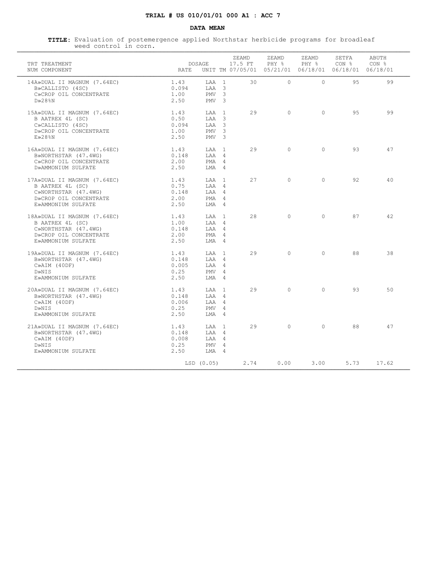### **DATA MEAN**

| TRT TREATMENT<br>NUM COMPONENT                                                                                          | RATE                                   | DOSAGE                                                              | ZEAMD<br>17.5 FT | ZEAMD<br>PHY %<br>UNIT TM 07/05/01 05/21/01 06/18/01 06/18/01 06/18/01 | ZEAMD<br>PHY 응 | SETFA<br>CON % | ABUTH<br>CON <sub>8</sub> |
|-------------------------------------------------------------------------------------------------------------------------|----------------------------------------|---------------------------------------------------------------------|------------------|------------------------------------------------------------------------|----------------|----------------|---------------------------|
| 14A»DUAL II MAGNUM (7.64EC)<br>B»CALLISTO (4SC)<br>C»CROP OIL CONCENTRATE<br>$D \gg 28$ %N                              | 1.43<br>0.094<br>1.00<br>2.50          | LAA 1<br>$T.AA$ 3<br>PMV <sub>3</sub><br>PMV <sub>3</sub>           | 30               | $\Omega$                                                               | $\Omega$       | 9.5            | 99                        |
| 15A»DUAL II MAGNUM (7.64EC)<br>B AATREX 4L (SC)<br>C»CALLISTO (4SC)<br>D»CROP OIL CONCENTRATE<br>E>28%N                 | 1.43<br>0.50<br>0.094<br>1.00<br>2.50  | LAA 1<br>$TAA$ 3<br>$TAA$ 3<br>PMV <sub>3</sub><br>PMV <sub>3</sub> | 29               | $\cap$                                                                 | $\cap$         | 9.5            | 99                        |
| 16A»DUAL II MAGNUM (7.64EC)<br>B»NORTHSTAR (47.4WG)<br>C»CROP OIL CONCENTRATE<br>D»AMMONIUM SULFATE                     | 1.43<br>0.148<br>2.00<br>2.50          | T.AA 1<br>LAA 4<br>PMA 4<br>LMA 4                                   | 29               | $\bigcap$                                                              | $\Omega$       | 93             | 47                        |
| 17A»DUAL II MAGNUM (7.64EC)<br>B AATREX 4L (SC)<br>C»NORTHSTAR (47.4WG)<br>D»CROP OIL CONCENTRATE<br>E»AMMONIUM SULFATE | 1.43<br>0.75<br>0.148<br>2.00<br>2.50  | T.AA 1<br>$T.A.A$ 4<br>LAA 4<br>PMA 4<br>$LMA$ 4                    | 27               | $\Omega$                                                               | $\Omega$       | 92             | 40                        |
| 18A»DUAL II MAGNUM (7.64EC)<br>B AATREX 4L (SC)<br>C»NORTHSTAR (47.4WG)<br>D»CROP OIL CONCENTRATE<br>E»AMMONIUM SULFATE | 1.43<br>1.00<br>0.148<br>2.00<br>2.50  | T.AA 1<br>LAA 4<br>$T.A.A$ 4<br>PMA 4<br>LMA 4                      | 2.8              | $\bigcap$                                                              | $\Omega$       | 87             | 42                        |
| 19A»DUAL II MAGNUM (7.64EC)<br>B»NORTHSTAR (47.4WG)<br>$C\gg AIM$ (40DF)<br>D»NIS<br>E»AMMONIUM SULFATE                 | 1.43<br>0.148<br>0.005<br>0.25<br>2.50 | T.AA 1<br>LAA 4<br>LAA 4<br>PMV 4<br>$LMA$ 4                        | 29               | $\cap$                                                                 | $\Omega$       | 88             | 38                        |
| 20A»DUAL II MAGNUM (7.64EC)<br>B»NORTHSTAR (47.4WG)<br>$C\gg AIM$ (40DF)<br>D»NIS<br>E»AMMONIUM SULFATE                 | 1.43<br>0.148<br>0.006<br>0.25<br>2.50 | LAA 1<br>LAA 4<br>LAA 4<br>PMV 4<br>T.MA 4                          | 29               | $\Omega$                                                               | $\Omega$       | 93             | 50                        |
| 21A»DUAL II MAGNUM (7.64EC)<br>B»NORTHSTAR (47.4WG)<br>$C\gg AIM$ (40DF)<br>D»NIS<br>E»AMMONIUM SULFATE                 | 1.43<br>0.148<br>0.008<br>0.25<br>2.50 | LAA 1<br>$T.A.A$ 4<br>LAA 4<br>PMV 4<br>LMA 4                       | 29               | $\Omega$                                                               | $\Omega$       | 88             | 47                        |
|                                                                                                                         |                                        | LSD (0.05)                                                          | 2.74             | 0.00                                                                   | $3.00 -$       | 5.73           | 17.62                     |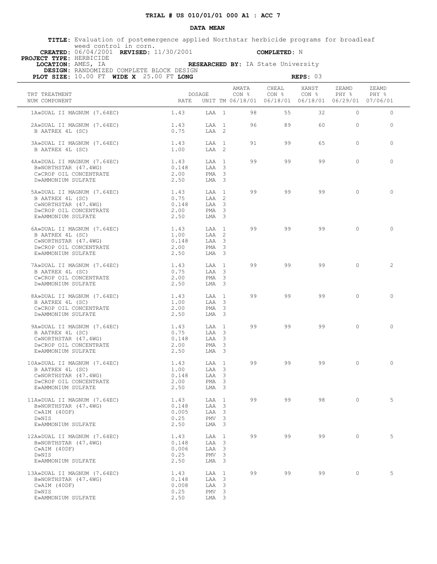### **DATA MEAN**

 **TITLE:** Evaluation of postemergence applied Northstar herbicide programs for broadleaf weed control in corn.  **CREATED:** 06/04/2001 **REVISED:** 11/30/2001 **COMPLETED:** N

 **PROJECT TYPE:** HERBICIDE

 **LOCATION:** AMES, IA **RESEARCHED BY:** IA State University  **DESIGN:** RANDOMIZED COMPLETE BLOCK DESIGN

**PLOT SIZE:** 10.00 FT **WIDE X** 25.00 FT **LONG REPS: 03 REPS: 03** 

| TRT TREATMENT<br>NUM COMPONENT                                                                                                                                  |                                        | <b>DOSAGE</b>                                           |    | $\begin{tabular}{lcccccc}AMATA & CHEAL & XANST & ZEAMD & ZEAMD \\ CON & 8 & CON & 8 & PHY & 8 & PHY & 8 \end{tabular}$<br>RATE UNIT TM 06/18/01 06/18/01 06/18/01 06/29/01 07/06/01 |    |                |            |  |
|-----------------------------------------------------------------------------------------------------------------------------------------------------------------|----------------------------------------|---------------------------------------------------------|----|-------------------------------------------------------------------------------------------------------------------------------------------------------------------------------------|----|----------------|------------|--|
| 1A»DUAL II MAGNUM (7.64EC)                                                                                                                                      | 1.43                                   |                                                         |    | LAA 1 98 55                                                                                                                                                                         |    | 32<br>$\Omega$ | $\Omega$   |  |
| 2A»DUAL II MAGNUM (7.64EC)<br>B AATREX 4L (SC)                                                                                                                  | 1.43<br>0.75                           | LAA 2                                                   |    | LAA 1 96 89                                                                                                                                                                         |    | 60 0           | $\Omega$   |  |
| 3A»DUAL II MAGNUM (7.64EC)<br>B AATREX 4L (SC)                                                                                                                  | 1.43<br>1.00                           | LAA 1<br>LAA 2                                          |    | 91 99                                                                                                                                                                               | 65 | $\Omega$       | $\Omega$   |  |
| 4A»DUAL II MAGNUM (7.64EC) 1.43<br>B»NORTHSTAR (47.4WG)<br>C»CROP OIL CONCENTRATE<br>D»AMMONIUM SULFATE                                                         | 0.148<br>2.00<br>2.50                  | $T.AA$ 1<br>LAA 3<br>PMA 3<br>LMA 3                     |    | 99 99 99                                                                                                                                                                            | 99 | $\Omega$       | $\Omega$   |  |
| 5A»DUAL II MAGNUM (7.64EC) 1.43<br>B AATREX 4L (SC)<br>C»NORTHSTAR (47.4WG)<br>D»CROP OIL CONCENTRATE<br>E»AMMONIUM SULFATE                                     | 0.75<br>0.148<br>2.00<br>2.50          | LAA 1<br>LAA 2<br>LAA 3<br>PMA 3<br>LMA 3               | 99 | 99                                                                                                                                                                                  | 99 | $\bigcirc$     | $\bigcirc$ |  |
| 6A»DUAL II MAGNUM $(7.64EC)$ 1.43<br>B AATREX 4L (SC) 1.00<br>CNMOREUCEAR (47.4WC) 1.00<br>C»NORTHSTAR (47.4WG)<br>D»CROP OIL CONCENTRATE<br>E»AMMONIUM SULFATE | 0.148<br>2.00<br>2.50                  | $T.AA$ 1<br>LAA 2<br>LAA 3<br>PMA <sub>3</sub><br>LMA 3 |    | 99 99 99                                                                                                                                                                            |    | $\Omega$       | $\Omega$   |  |
| 7A»DUAL II MAGNUM (7.64EC) 1.43<br>B AATREX 4L (SC)<br>C»CROP OIL CONCENTRATE<br>D»AMMONIUM SULFATE                                                             | 0.75<br>2.00<br>2.50                   | T.AA 1<br>LAA 3<br>PMA <sub>3</sub><br>LMA <sub>3</sub> | 99 | 99                                                                                                                                                                                  | 99 | $\overline{0}$ | 2          |  |
| 8A»DUAL II MAGNUM (7.64EC) 1.43<br>B AATREX 4L (SC)<br>C»CROP OIL CONCENTRATE<br>D»AMMONIUM SULFATE                                                             | 1.00<br>2.00<br>2.50                   | LAA 1<br>LAA 3<br>$PMA$ 3<br>LMA 3                      |    | 99 99                                                                                                                                                                               | 99 | $\Omega$       | $\Omega$   |  |
| 9A»DUAL II MAGNUM (7.64EC)<br>B AATREX 4L (SC)<br>C»NORTHSTAR (47.4WG)<br>D»CROP OIL CONCENTRATE<br>E»AMMONIUM SULFATE                                          | 1.43<br>0.75<br>0.148<br>2.00<br>2.50  | LAA 1<br>LAA 3<br>LAA 3<br>PMA <sub>3</sub><br>LMA 3    |    | 99 99 9                                                                                                                                                                             | 99 | $\overline{0}$ | $\Omega$   |  |
| $10A \times DUAL$ II MAGNUM $(7.64EC)$ 1.43<br>B AATREX 4L (SC)<br>C»NORTHSTAR (47.4WG)<br>D»CROP OIL CONCENTRATE<br>E»AMMONIUM SULFATE                         | 1.00<br>0.148<br>2.00<br>2.50          | LAA 1<br>LAA 3<br>LAA 3<br>PMA <sub>3</sub><br>LMA 3    | 99 | 99                                                                                                                                                                                  | 99 | $\Omega$       | $\Omega$   |  |
| 11A»DUAL II MAGNUM (7.64EC)<br>B»NORTHSTAR (47.4WG)<br>$C\gg AIM$ (40DF)<br>D»NIS<br>E»AMMONIUM SULFATE                                                         | 1.43<br>0.148<br>0.005<br>0.25<br>2.50 | LAA 1<br>LAA 3<br>LAA 3<br>PMV 3<br>LMA 3               | 99 | 99                                                                                                                                                                                  | 98 |                |            |  |
| 12A»DUAL II MAGNUM (7.64EC)<br>B»NORTHSTAR (47.4WG)<br>$C\gg AIM$ (40DF)<br>D»NIS<br>E»AMMONIUM SULFATE                                                         | 1.43<br>0.148<br>0.006<br>0.25<br>2.50 | LAA 1<br>LAA 3<br>LAA 3<br>PMV <sub>3</sub><br>LMA 3    | 99 | 99                                                                                                                                                                                  | 99 | $\circ$        | 5          |  |
| 13A»DUAL II MAGNUM (7.64EC)<br>B»NORTHSTAR (47.4WG)<br>$C\gg AIM$ (40DF)<br>D»NIS<br>E»AMMONIUM SULFATE                                                         | 1.43<br>0.148<br>0.008<br>0.25<br>2.50 | LAA 1<br>LAA 3<br>LAA 3<br>PMV <sub>3</sub><br>LMA 3    | 99 | 99                                                                                                                                                                                  | 99 | $\Omega$       | 5          |  |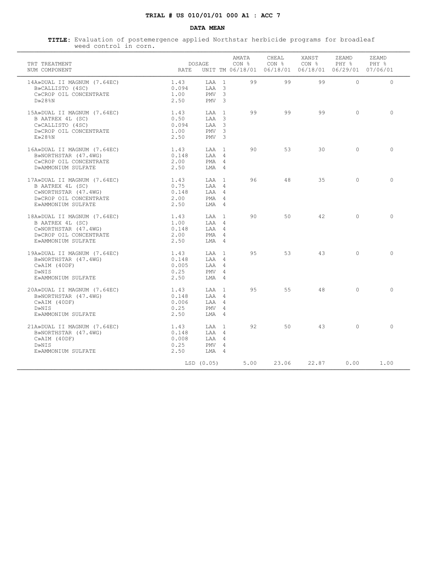### **DATA MEAN**

| CHEAL<br>XANST<br>AMATA<br>ZEAMD<br>ZEAMD<br><b>DOSAGE</b><br>CON %<br>CON <sub>8</sub><br>CON <sub>8</sub><br>PHY %<br>PHY %<br>TRT TREATMENT<br>UNIT TM 06/18/01 06/18/01 06/18/01 06/29/01 07/06/01<br>NUM COMPONENT<br>RATE<br>99<br>$\Omega$<br>$\Omega$<br>14A»DUAL II MAGNUM (7.64EC)<br>1.43<br>LAA 1<br>99<br>99<br>0.094<br>$TAA$ 3<br>B»CALLISTO (4SC)<br>1.00<br>PMV <sub>3</sub><br>C»CROP OIL CONCENTRATE<br>2.50<br>D»28%N<br>PMV <sub>3</sub><br>LAA 1<br>99<br>99<br>99<br>$\Omega$<br>$\bigcap$<br>15A»DUAL II MAGNUM (7.64EC)<br>1.43<br>0.50<br>$TAA$ 3<br>B AATREX 4L (SC)<br>0.094<br>$TAA$ 3<br>C»CALLISTO (4SC)<br>D»CROP OIL CONCENTRATE<br>PMV <sub>3</sub><br>1.00<br>E>28%N<br>2.50<br>PMV <sub>3</sub><br>90<br>53<br>30<br>$\Omega$<br>$\bigcap$<br>16A»DUAL II MAGNUM (7.64EC)<br>1.43<br>T.AA 1<br>B»NORTHSTAR (47.4WG)<br>0.148<br>LAA 4<br>2.00<br>C»CROP OIL CONCENTRATE<br>PMA 4<br>D»AMMONIUM SULFATE<br>2.50<br>LMA 4<br>96<br>48<br>35<br>$\Omega$<br>1.43<br>$\bigcirc$<br>17A»DUAL II MAGNUM (7.64EC)<br>T.AA 1<br>B AATREX 4L (SC)<br>0.75<br>LAA 4<br>0.148<br>LAA 4<br>C»NORTHSTAR (47.4WG)<br>2.00<br>D»CROP OIL CONCENTRATE<br>PMA 4<br>2.50<br>E»AMMONIUM SULFATE<br>$LMA$ 4<br>90<br>50<br>42.<br>$\Omega$<br>$\bigcirc$<br>1.43<br>T.AA 1<br>18A»DUAL II MAGNUM (7.64EC)<br>B AATREX 4L (SC)<br>1.00<br>LAA 4<br>0.148<br>$T.A.A$ 4<br>C»NORTHSTAR (47.4WG)<br>2.00<br>PMA 4<br>D»CROP OIL CONCENTRATE<br>2.50<br>E»AMMONIUM SULFATE<br>LMA 4<br>$\Omega$<br>$\cap$<br>95<br>53<br>43<br>19A»DUAL II MAGNUM (7.64EC)<br>1.43<br>LAA 1<br>0.148<br>LAA 4<br>B»NORTHSTAR (47.4WG)<br>0.005<br>LAA 4<br>$C\gg AIM$ (40DF)<br>0.25<br>PMV 4<br>D»NIS<br>E»AMMONIUM SULFATE<br>2.50<br>$LMA$ 4<br>95<br>55<br>48<br>$\Omega$<br>$\Omega$<br>1.43<br>LAA 1<br>20A»DUAL II MAGNUM (7.64EC)<br>0.148<br>LAA 4<br>B»NORTHSTAR (47.4WG)<br>0.006<br>LAA 4<br>$C\gg AIM$ (40DF)<br>D»NIS<br>0.25<br>PMV 4<br>T.MA 4<br>E»AMMONIUM SULFATE<br>2.50<br>50<br>$\Omega$<br>$\Omega$<br>LAA 1<br>92<br>43<br>1.43<br>21A»DUAL II MAGNUM (7.64EC)<br>B»NORTHSTAR (47.4WG)<br>0.148<br>$T.A.A$ 4<br>LAA 4<br>$C\gg AIM$ (40DF)<br>0.008<br>0.25<br>$PMV = 4$<br>D»NIS<br>2.50<br>E»AMMONIUM SULFATE<br>LMA 4<br>LSD (0.05)<br>5.00<br>23.06<br>22.87<br>0.00<br>1.00 | weed control in corn. |  |  |  |  |
|-----------------------------------------------------------------------------------------------------------------------------------------------------------------------------------------------------------------------------------------------------------------------------------------------------------------------------------------------------------------------------------------------------------------------------------------------------------------------------------------------------------------------------------------------------------------------------------------------------------------------------------------------------------------------------------------------------------------------------------------------------------------------------------------------------------------------------------------------------------------------------------------------------------------------------------------------------------------------------------------------------------------------------------------------------------------------------------------------------------------------------------------------------------------------------------------------------------------------------------------------------------------------------------------------------------------------------------------------------------------------------------------------------------------------------------------------------------------------------------------------------------------------------------------------------------------------------------------------------------------------------------------------------------------------------------------------------------------------------------------------------------------------------------------------------------------------------------------------------------------------------------------------------------------------------------------------------------------------------------------------------------------------------------------------------------------------------------------------------------------------------------------------------------------------------------------------------------------------------------------------------------------------------------------------------|-----------------------|--|--|--|--|
|                                                                                                                                                                                                                                                                                                                                                                                                                                                                                                                                                                                                                                                                                                                                                                                                                                                                                                                                                                                                                                                                                                                                                                                                                                                                                                                                                                                                                                                                                                                                                                                                                                                                                                                                                                                                                                                                                                                                                                                                                                                                                                                                                                                                                                                                                                     |                       |  |  |  |  |
|                                                                                                                                                                                                                                                                                                                                                                                                                                                                                                                                                                                                                                                                                                                                                                                                                                                                                                                                                                                                                                                                                                                                                                                                                                                                                                                                                                                                                                                                                                                                                                                                                                                                                                                                                                                                                                                                                                                                                                                                                                                                                                                                                                                                                                                                                                     |                       |  |  |  |  |
|                                                                                                                                                                                                                                                                                                                                                                                                                                                                                                                                                                                                                                                                                                                                                                                                                                                                                                                                                                                                                                                                                                                                                                                                                                                                                                                                                                                                                                                                                                                                                                                                                                                                                                                                                                                                                                                                                                                                                                                                                                                                                                                                                                                                                                                                                                     |                       |  |  |  |  |
|                                                                                                                                                                                                                                                                                                                                                                                                                                                                                                                                                                                                                                                                                                                                                                                                                                                                                                                                                                                                                                                                                                                                                                                                                                                                                                                                                                                                                                                                                                                                                                                                                                                                                                                                                                                                                                                                                                                                                                                                                                                                                                                                                                                                                                                                                                     |                       |  |  |  |  |
|                                                                                                                                                                                                                                                                                                                                                                                                                                                                                                                                                                                                                                                                                                                                                                                                                                                                                                                                                                                                                                                                                                                                                                                                                                                                                                                                                                                                                                                                                                                                                                                                                                                                                                                                                                                                                                                                                                                                                                                                                                                                                                                                                                                                                                                                                                     |                       |  |  |  |  |
|                                                                                                                                                                                                                                                                                                                                                                                                                                                                                                                                                                                                                                                                                                                                                                                                                                                                                                                                                                                                                                                                                                                                                                                                                                                                                                                                                                                                                                                                                                                                                                                                                                                                                                                                                                                                                                                                                                                                                                                                                                                                                                                                                                                                                                                                                                     |                       |  |  |  |  |
|                                                                                                                                                                                                                                                                                                                                                                                                                                                                                                                                                                                                                                                                                                                                                                                                                                                                                                                                                                                                                                                                                                                                                                                                                                                                                                                                                                                                                                                                                                                                                                                                                                                                                                                                                                                                                                                                                                                                                                                                                                                                                                                                                                                                                                                                                                     |                       |  |  |  |  |
|                                                                                                                                                                                                                                                                                                                                                                                                                                                                                                                                                                                                                                                                                                                                                                                                                                                                                                                                                                                                                                                                                                                                                                                                                                                                                                                                                                                                                                                                                                                                                                                                                                                                                                                                                                                                                                                                                                                                                                                                                                                                                                                                                                                                                                                                                                     |                       |  |  |  |  |
|                                                                                                                                                                                                                                                                                                                                                                                                                                                                                                                                                                                                                                                                                                                                                                                                                                                                                                                                                                                                                                                                                                                                                                                                                                                                                                                                                                                                                                                                                                                                                                                                                                                                                                                                                                                                                                                                                                                                                                                                                                                                                                                                                                                                                                                                                                     |                       |  |  |  |  |
|                                                                                                                                                                                                                                                                                                                                                                                                                                                                                                                                                                                                                                                                                                                                                                                                                                                                                                                                                                                                                                                                                                                                                                                                                                                                                                                                                                                                                                                                                                                                                                                                                                                                                                                                                                                                                                                                                                                                                                                                                                                                                                                                                                                                                                                                                                     |                       |  |  |  |  |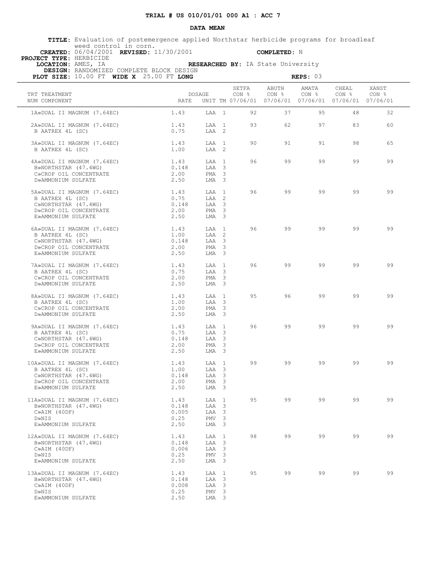### **DATA MEAN**

 **TITLE:** Evaluation of postemergence applied Northstar herbicide programs for broadleaf weed control in corn.  **CREATED:** 06/04/2001 **REVISED:** 11/30/2001 **COMPLETED:** N

 **PROJECT TYPE:** HERBICIDE

 **LOCATION:** AMES, IA **RESEARCHED BY:** IA State University

|  | DESIGN: RANDOMIZED COMPLETE BLOCK DESIGN                          |
|--|-------------------------------------------------------------------|
|  | <b>PLOT SIZE:</b> $10.00$ FT <b>WIDE X</b> $25.00$ FT <b>LONG</b> |

| PLOT SIZE: 10.00 FT WIDE X 25.00 FT LONG                                                                                |                                        |                                                                                             |                |                | REPS: 03                                                                          |                           |                |
|-------------------------------------------------------------------------------------------------------------------------|----------------------------------------|---------------------------------------------------------------------------------------------|----------------|----------------|-----------------------------------------------------------------------------------|---------------------------|----------------|
| TRT TREATMENT<br>NUM COMPONENT                                                                                          | DOSAGE<br><b>RATE</b>                  |                                                                                             | SETFA<br>CON % | ABUTH<br>CON % | AMATA<br>CON <sub>8</sub><br>UNIT TM 07/06/01 07/06/01 07/06/01 07/06/01 07/06/01 | CHEAL<br>CON <sub>8</sub> | XANST<br>CON % |
| 1A»DUAL II MAGNUM (7.64EC)                                                                                              | 1.43                                   | LAA 1                                                                                       | 92             | 37             | 95                                                                                | 48                        | 32             |
| 2A»DUAL II MAGNUM (7.64EC)<br>B AATREX 4L (SC)                                                                          | 1.43<br>0.75                           | LAA 1<br>LAA 2                                                                              | 93             | 62             | 97                                                                                | 83                        | 60             |
| 3A»DUAL II MAGNUM (7.64EC)<br>B AATREX 4L (SC)                                                                          | 1.43<br>1.00                           | LAA 1<br>$T.AA$ 2                                                                           | 90             | 91             | 91                                                                                | 98                        | 65             |
| 4A»DUAL II MAGNUM (7.64EC)<br>B»NORTHSTAR (47.4WG)<br>C»CROP OIL CONCENTRATE<br>D»AMMONIUM SULFATE                      | 1.43<br>0.148<br>2.00<br>2.50          | LAA 1<br>LAA 3<br>$PMA$ 3<br>LMA 3                                                          | 96             | 99             | 99                                                                                | 99                        | 99             |
| 5A»DUAL II MAGNUM (7.64EC)<br>B AATREX 4L (SC)<br>C»NORTHSTAR (47.4WG)<br>D»CROP OIL CONCENTRATE                        | 1.43<br>0.75<br>0.148<br>2.00          | LAA 1<br>LAA 2<br>LAA 3<br>PMA <sub>3</sub>                                                 | 96             | 99             | 99                                                                                | 99                        | 99             |
| E»AMMONIUM SULFATE<br>6A»DUAL II MAGNUM (7.64EC)<br>B AATREX 4L (SC)                                                    | 2.50<br>1.43<br>1.00                   | $LMA$ 3<br>LAA 1<br>LAA 2                                                                   | 96             | 99             | 99                                                                                | 99                        | 99             |
| C»NORTHSTAR (47.4WG)<br>D»CROP OIL CONCENTRATE<br>E»AMMONIUM SULFATE                                                    | 0.148<br>2.00<br>2.50                  | LAA 3<br>PMA <sub>3</sub><br>LMA 3                                                          |                |                |                                                                                   |                           |                |
| 7A»DUAL II MAGNUM (7.64EC)<br>B AATREX 4L (SC)<br>C»CROP OIL CONCENTRATE<br>D»AMMONIUM SULFATE                          | 1.43<br>0.75<br>2.00<br>2.50           | LAA 1<br>LAA 3<br>PMA <sub>3</sub><br>LMA 3                                                 | 96             | 99             | 99                                                                                | 99                        | 99             |
| 8A»DUAL II MAGNUM (7.64EC)<br>B AATREX 4L (SC)<br>C»CROP OIL CONCENTRATE<br>D»AMMONIUM SULFATE                          | 1.43<br>1.00<br>2.00<br>2.50           | LAA 1<br>LAA 3<br>PMA 3<br>LMA 3                                                            | 95             | 96             | 99                                                                                | 99                        | 99             |
| 9A»DUAL II MAGNUM (7.64EC)<br>B AATREX 4L (SC)<br>C»NORTHSTAR (47.4WG)<br>D»CROP OIL CONCENTRATE<br>E»AMMONIUM SULFATE  | 1.43<br>0.75<br>0.148<br>2.00<br>2.50  | LAA 1<br>LAA 3<br>LAA 3<br>PMA<br>$\overline{\mathbf{3}}$<br>LMA <sub>3</sub>               | 96             | 99             | 99                                                                                | 99                        | 99             |
| 10A»DUAL II MAGNUM (7.64EC)<br>B AATREX 4L (SC)<br>C»NORTHSTAR (47.4WG)<br>D»CROP OIL CONCENTRATE<br>E»AMMONIUM SULFATE | 1.43<br>1.00<br>0.148<br>2.00<br>2.50  | LAA 1<br>LAA 3<br>LAA 3<br>PMA <sub>3</sub><br>LMA <sub>3</sub>                             | 99             | 99             | 99                                                                                | 99                        | 99             |
| 11A»DUAL II MAGNUM (7.64EC)<br>B»NORTHSTAR (47.4WG)<br>$C\gg AIM$ (40DF)<br>D»NIS<br>E»AMMONIUM SULFATE                 | 1.43<br>0.148<br>0.005<br>0.25<br>2.50 | LAA 1<br>LAA 3<br>LAA 3<br>PMV <sub>3</sub><br>LMA 3                                        | 95             | 99             | 99                                                                                | 99                        | 99             |
| 12A»DUAL II MAGNUM (7.64EC)<br>B»NORTHSTAR (47.4WG)<br>$C\gg AIM$ (40DF)<br>D»NIS<br>E»AMMONIUM SULFATE                 | 1.43<br>0.148<br>0.006<br>0.25<br>2.50 | LAA 1<br>LAA<br>$\overline{\mathbf{3}}$<br>LAA 3<br>$\overline{\mathbf{3}}$<br>PMV<br>LMA 3 | 98             | 99             | 99                                                                                | 99                        | 99             |
| 13A»DUAL II MAGNUM (7.64EC)<br>B»NORTHSTAR (47.4WG)<br>$C\gg AIM$ (40DF)<br>D»NIS<br>E»AMMONIUM SULFATE                 | 1.43<br>0.148<br>0.008<br>0.25<br>2.50 | LAA 1<br>LAA 3<br>LAA 3<br>PMV <sub>3</sub><br>LMA 3                                        | 95             | 99             | 99                                                                                | 99                        | 99             |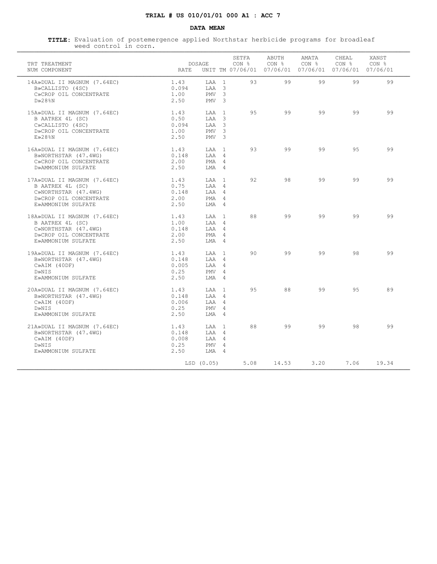### **DATA MEAN**

| TRT TREATMENT<br>NUM COMPONENT                                                                                          | RATE                                   | DOSAGE                                                 |                               | SETFA<br>CON % | ABUTH<br>CON % | AMATA<br>CON <sub>8</sub><br>UNIT TM 07/06/01 07/06/01 07/06/01 07/06/01 07/06/01 | CHEAL<br>CON % | XANST<br>CON <sub>8</sub> |
|-------------------------------------------------------------------------------------------------------------------------|----------------------------------------|--------------------------------------------------------|-------------------------------|----------------|----------------|-----------------------------------------------------------------------------------|----------------|---------------------------|
| 14A»DUAL II MAGNUM (7.64EC)<br>B»CALLISTO (4SC)<br>C»CROP OIL CONCENTRATE<br>$D \gg 28$ %N                              | 1.43<br>0.094<br>1.00<br>2.50          | LAA 1<br>$T.AA$ 3<br>PMV<br>PMV                        | -3<br>$\overline{\mathbf{3}}$ | 93             | 99             | 99                                                                                | 99             | 99                        |
| 15A»DUAL II MAGNUM (7.64EC)<br>B AATREX 4L (SC)<br>C»CALLISTO (4SC)<br>D»CROP OIL CONCENTRATE<br>E>28%N                 | 1.43<br>0.50<br>0.094<br>1.00<br>2.50  | LAA 1<br>$TAA$ 3<br>$TAA$ 3<br>PMV<br>PMV <sub>3</sub> | $\overline{\mathbf{3}}$       | 9.5            | 99             | 99                                                                                | 99             | 99                        |
| 16A»DUAL II MAGNUM (7.64EC)<br>B»NORTHSTAR (47.4WG)<br>C»CROP OIL CONCENTRATE<br>D»AMMONIUM SULFATE                     | 1.43<br>0.148<br>2.00<br>2.50          | T.AA 1<br>LAA 4<br>PMA 4<br>LMA 4                      |                               | 93             | 99             | 99                                                                                | 9.5            | 99                        |
| 17A»DUAL II MAGNUM (7.64EC)<br>B AATREX 4L (SC)<br>C»NORTHSTAR (47.4WG)<br>D»CROP OIL CONCENTRATE<br>E»AMMONIUM SULFATE | 1.43<br>0.75<br>0.148<br>2.00<br>2.50  | T.AA 1<br>$T.A.A$ 4<br>LAA 4<br>PMA 4<br>$LMA$ 4       |                               | 92             | 98             | 99                                                                                | 99             | 99                        |
| 18A»DUAL II MAGNUM (7.64EC)<br>B AATREX 4L (SC)<br>C»NORTHSTAR (47.4WG)<br>D»CROP OIL CONCENTRATE<br>E»AMMONIUM SULFATE | 1.43<br>1.00<br>0.148<br>2.00<br>2.50  | $T.A.A$ 1<br>LAA 4<br>LAA 4<br>PMA 4<br>LMA 4          |                               | 88             | 99             | 99                                                                                | 99             | 99                        |
| 19A»DUAL II MAGNUM (7.64EC)<br>B»NORTHSTAR (47.4WG)<br>$C\gg AIM$ (40DF)<br>D»NIS<br>E»AMMONIUM SULFATE                 | 1.43<br>0.148<br>0.005<br>0.25<br>2.50 | LAA 1<br>LAA 4<br>LAA 4<br>PMV 4<br>LMA 4              |                               | 90             | 99             | 99                                                                                | 98             | 99                        |
| 20A»DUAL II MAGNUM (7.64EC)<br>B»NORTHSTAR (47.4WG)<br>$C\gg AIM$ (40DF)<br>D»NIS<br>E»AMMONIUM SULFATE                 | 1.43<br>0.148<br>0.006<br>0.25<br>2.50 | LAA 1<br>LAA 4<br>LAA 4<br>PMV 4<br>T.MA 4             |                               | 95             | 88             | 99                                                                                | 95             | 89                        |
| 21A»DUAL II MAGNUM (7.64EC)<br>B»NORTHSTAR (47.4WG)<br>$C\gg AIM$ (40DF)<br>D»NIS<br>E»AMMONIUM SULFATE                 | 1.43<br>0.148<br>0.008<br>0.25<br>2.50 | LAA 1<br>$T.A.A$ 4<br>LAA 4<br>PMV<br>LMA 4            | $\overline{4}$                | 88             | 99             | 99                                                                                | 98             | 99                        |
|                                                                                                                         |                                        | LSD (0.05)                                             |                               | 5.08           | 14.53          | 3.20                                                                              | 7.06           | 19.34                     |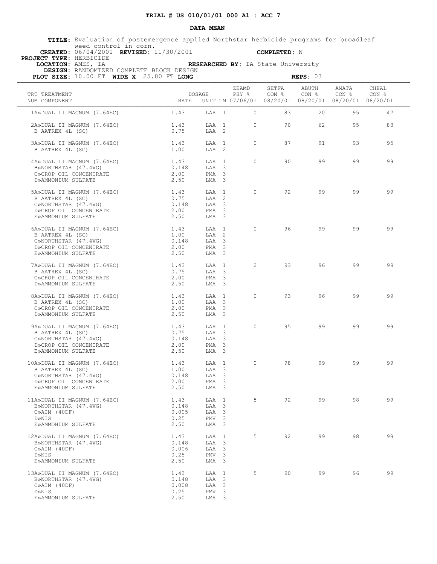### **DATA MEAN**

 **TITLE:** Evaluation of postemergence applied Northstar herbicide programs for broadleaf weed control in corn.  **CREATED:** 06/04/2001 **REVISED:** 11/30/2001 **COMPLETED:** N

 **PROJECT TYPE:** HERBICIDE

 **LOCATION:** AMES, IA **RESEARCHED BY:** IA State University  **DESIGN:** RANDOMIZED COMPLETE BLOCK DESIGN

| PLOT SIZE: 10.00 FT WIDE X 25.00 FT LONG                                                                                |                                        |                                                                               |                |                | REPS: 03                  |                                                                                   |                |
|-------------------------------------------------------------------------------------------------------------------------|----------------------------------------|-------------------------------------------------------------------------------|----------------|----------------|---------------------------|-----------------------------------------------------------------------------------|----------------|
| TRT TREATMENT<br>NUM COMPONENT                                                                                          | DOSAGE<br>RATE.                        |                                                                               | ZEAMD<br>PHY % | SETFA<br>CON & | ABUTH<br>CON <sub>8</sub> | AMATA<br>CON <sub>8</sub><br>UNIT TM 07/06/01 08/20/01 08/20/01 08/20/01 08/20/01 | CHEAL<br>CON % |
| 1A»DUAL II MAGNUM (7.64EC)                                                                                              | 1.43                                   | LAA 1                                                                         | $\circ$        | 83             | 20                        | 95                                                                                | 47             |
| 2A»DUAL II MAGNUM (7.64EC)<br>B AATREX 4L (SC)                                                                          | 1.43<br>0.75                           | LAA 1<br>LAA 2                                                                | $\circ$        | 90             | 62                        | 95                                                                                | 83             |
| 3A»DUAL II MAGNUM (7.64EC)<br>B AATREX 4L (SC)                                                                          | 1.43<br>1.00                           | LAA 1<br>LAA 2                                                                | $\circ$        | 87             | 91                        | 93                                                                                | 95             |
| 4A»DUAL II MAGNUM (7.64EC)<br>B»NORTHSTAR (47.4WG)<br>C»CROP OIL CONCENTRATE                                            | 1.43<br>0.148<br>2.00                  | LAA 1<br>LAA 3<br>$PMA$ 3                                                     | $\Omega$       | 90             | 99                        | 99                                                                                | 99             |
| D»AMMONIUM SULFATE                                                                                                      | 2.50                                   | LMA 3                                                                         |                |                |                           |                                                                                   |                |
| 5A»DUAL II MAGNUM (7.64EC)<br>B AATREX 4L (SC)<br>C»NORTHSTAR (47.4WG)<br>D»CROP OIL CONCENTRATE<br>E»AMMONIUM SULFATE  | 1.43<br>0.75<br>0.148<br>2.00<br>2.50  | LAA 1<br>LAA 2<br>LAA 3<br>PMA <sub>3</sub><br>LMA <sub>3</sub>               | $\circ$        | 92             | 99                        | 99                                                                                | 99             |
| 6A»DUAL II MAGNUM (7.64EC)<br>B AATREX 4L (SC)<br>C»NORTHSTAR (47.4WG)<br>D»CROP OIL CONCENTRATE                        | 1.43<br>1.00<br>0.148<br>2.00          | LAA 1<br>LAA 2<br>LAA 3<br>PMA <sub>3</sub>                                   | $\circ$        | 96             | 99                        | 99                                                                                | 99             |
| E»AMMONIUM SULFATE<br>7A»DUAL II MAGNUM (7.64EC)<br>B AATREX 4L (SC)<br>C»CROP OIL CONCENTRATE<br>D»AMMONIUM SULFATE    | 2.50<br>1.43<br>0.75<br>2.00<br>2.50   | $LMA$ 3<br>LAA 1<br>LAA 3<br>PMA <sub>3</sub><br>LMA 3                        | $\overline{2}$ | 93             | 96                        | 99                                                                                | 99             |
| 8A»DUAL II MAGNUM (7.64EC)<br>B AATREX 4L (SC)<br>C»CROP OIL CONCENTRATE<br>D»AMMONIUM SULFATE                          | 1.43<br>1.00<br>2.00<br>2.50           | LAA 1<br>LAA 3<br>PMA <sub>3</sub><br>LMA 3                                   | $\Omega$       | 93             | 96                        | 99                                                                                | 99             |
| 9A»DUAL II MAGNUM (7.64EC)<br>B AATREX 4L (SC)<br>C»NORTHSTAR (47.4WG)<br>D»CROP OIL CONCENTRATE<br>E»AMMONIUM SULFATE  | 1.43<br>0.75<br>0.148<br>2.00<br>2.50  | LAA 1<br>LAA 3<br>LAA 3<br>PMA<br>$\overline{\mathbf{3}}$<br>LMA 3            | $\circ$        | 95             | 99                        | 99                                                                                | 99             |
| 10A»DUAL II MAGNUM (7.64EC)<br>B AATREX 4L (SC)<br>C»NORTHSTAR (47.4WG)<br>D»CROP OIL CONCENTRATE<br>E»AMMONIUM SULFATE | 1.43<br>1.00<br>0.148<br>2.00<br>2.50  | LAA 1<br>LAA 3<br>LAA 3<br>PMA <sub>3</sub><br>LMA 3                          | $\circ$        | 98             | 99                        | 99                                                                                | 99             |
| 11A»DUAL II MAGNUM (7.64EC)<br>B»NORTHSTAR (47.4WG)<br>$C\gg AIM$ (40DF)<br>D»NIS<br>E»AMMONIUM SULFATE                 | 1.43<br>0.148<br>0.005<br>0.25<br>2.50 | LAA 1<br>LAA 3<br>LAA 3<br>PMV <sub>3</sub><br>LMA 3                          | 5              | 92             | 99                        | 98                                                                                | 99             |
| 12A»DUAL II MAGNUM (7.64EC)<br>B»NORTHSTAR (47.4WG)<br>$C\gg AIM$ (40DF)<br>D»NIS<br>E»AMMONIUM SULFATE                 | 1.43<br>0.148<br>0.006<br>0.25<br>2.50 | LAA 1<br>LAA<br>$\overline{\mathbf{3}}$<br>LAA 3<br>PMV <sub>3</sub><br>LMA 3 | 5              | 92             | 99                        | 98                                                                                | 99             |
| 13A»DUAL II MAGNUM (7.64EC)<br>B»NORTHSTAR (47.4WG)<br>$C\gg AIM$ (40DF)<br>D»NIS<br>E»AMMONIUM SULFATE                 | 1.43<br>0.148<br>0.008<br>0.25<br>2.50 | LAA 1<br>LAA 3<br>LAA 3<br>PMV <sub>3</sub><br>LMA 3                          | 5              | 90             | 99                        | 96                                                                                | 99             |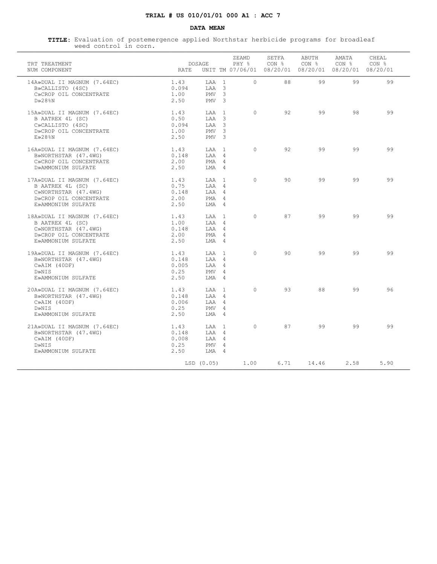### **DATA MEAN**

| TRT TREATMENT<br>NUM COMPONENT                                                                                          | RATE                                   | DOSAGE                                                              |                         | ZEAMD<br>PHY % | SETFA<br>CON % | ABUTH<br>CON <sub>8</sub><br>UNIT TM 07/06/01 08/20/01 08/20/01 08/20/01 08/20/01 | AMATA<br>CON % | CHEAL<br>CON % |
|-------------------------------------------------------------------------------------------------------------------------|----------------------------------------|---------------------------------------------------------------------|-------------------------|----------------|----------------|-----------------------------------------------------------------------------------|----------------|----------------|
| 14A»DUAL II MAGNUM (7.64EC)<br>B»CALLISTO (4SC)<br>C»CROP OIL CONCENTRATE<br>$D \gg 28$ %N                              | 1.43<br>0.094<br>1.00<br>2.50          | LAA 1<br>$TAA$ 3<br>PMV<br>PMV <sub>3</sub>                         | $\overline{\mathbf{3}}$ | $\Omega$       | 88             | 99                                                                                | 99             | 99             |
| 15A»DUAL II MAGNUM (7.64EC)<br>B AATREX 4L (SC)<br>C»CALLISTO (4SC)<br>D»CROP OIL CONCENTRATE<br>E>28%N                 | 1.43<br>0.50<br>0.094<br>1.00<br>2.50  | LAA 1<br>$TAA$ 3<br>$TAA$ 3<br>PMV <sub>3</sub><br>PMV <sub>3</sub> |                         | $\Omega$       | 92             | 99                                                                                | 98             | 99             |
| 16A»DUAL II MAGNUM (7.64EC)<br>B»NORTHSTAR (47.4WG)<br>C»CROP OIL CONCENTRATE<br>D»AMMONIUM SULFATE                     | 1.43<br>0.148<br>2.00<br>2.50          | T.AA 1<br>LAA 4<br>PMA 4<br>LMA 4                                   |                         | $\Omega$       | 92             | 99                                                                                | 99             | 99             |
| 17A»DUAL II MAGNUM (7.64EC)<br>B AATREX 4L (SC)<br>C»NORTHSTAR (47.4WG)<br>D»CROP OIL CONCENTRATE<br>E»AMMONIUM SULFATE | 1.43<br>0.75<br>0.148<br>2.00<br>2.50  | T.AA 1<br>$T.A.A$ 4<br>LAA 4<br>PMA 4<br>$LMA$ 4                    |                         | $\Omega$       | 90             | 99                                                                                | 99             | 99             |
| 18A»DUAL II MAGNUM (7.64EC)<br>B AATREX 4L (SC)<br>C»NORTHSTAR (47.4WG)<br>D»CROP OIL CONCENTRATE<br>E»AMMONIUM SULFATE | 1.43<br>1.00<br>0.148<br>2.00<br>2.50  | T.AA 1<br>LAA 4<br>$T.A.A$ 4<br>PMA 4<br>LMA 4                      |                         | $\Omega$       | 87             | 99                                                                                | 99             | 99             |
| 19A»DUAL II MAGNUM (7.64EC)<br>B»NORTHSTAR (47.4WG)<br>$C\gg AIM$ (40DF)<br>D»NIS<br>E»AMMONIUM SULFATE                 | 1.43<br>0.148<br>0.005<br>0.25<br>2.50 | T.AA 1<br>LAA 4<br>LAA 4<br>PMV 4<br>$LMA$ 4                        |                         | $\Omega$       | 90             | 99                                                                                | 99             | 99             |
| 20A»DUAL II MAGNUM (7.64EC)<br>B»NORTHSTAR (47.4WG)<br>$C\gg AIM$ (40DF)<br>D»NIS<br>E»AMMONIUM SULFATE                 | 1.43<br>0.148<br>0.006<br>0.25<br>2.50 | LAA 1<br>LAA 4<br>LAA 4<br>PMV 4<br>T.MA 4                          |                         | $\Omega$       | 93             | 88                                                                                | 99             | 96             |
| 21A»DUAL II MAGNUM (7.64EC)<br>B»NORTHSTAR (47.4WG)<br>$C\gg AIM$ (40DF)<br>D»NIS<br>E»AMMONIUM SULFATE                 | 1.43<br>0.148<br>0.008<br>0.25<br>2.50 | LAA 1<br>$T.A.A$ 4<br>LAA 4<br>PMV 4<br>LMA 4                       |                         | $\Omega$       | 87             | 99                                                                                | 99             | 99             |
|                                                                                                                         |                                        | LSD (0.05)                                                          |                         | 1.00           | 6.71           | 14.46                                                                             | 2.58           | 5.90           |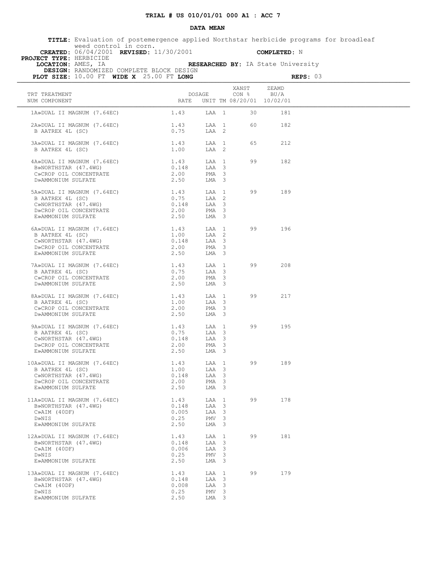### **DATA MEAN**

|                         |                       | TITLE: Evaluation of postemergence applied Northstar herbicide programs for broadleaf |  |                     |  |  |
|-------------------------|-----------------------|---------------------------------------------------------------------------------------|--|---------------------|--|--|
|                         | weed control in corn. |                                                                                       |  |                     |  |  |
|                         |                       | <b>CREATED:</b> $06/04/2001$ <b>REVISED:</b> $11/30/2001$                             |  | <b>COMPLETED:</b> N |  |  |
| BBATRAM MILBR UPPDICIDE |                       |                                                                                       |  |                     |  |  |

 **PROJECT TYPE:** HERBICIDE

 **DESIGN:** RANDOMIZED COMPLETE BLOCK DESIGN

 **LOCATION:** AMES, IA **RESEARCHED BY:** IA State University

| PLOT SIZE: 10.00 FT WIDE X 25.00 FT LONG                                                                                                                                                                                                                                      |               |                           |   | REPS: 03                |                                    |  |
|-------------------------------------------------------------------------------------------------------------------------------------------------------------------------------------------------------------------------------------------------------------------------------|---------------|---------------------------|---|-------------------------|------------------------------------|--|
| TRT TREATMENT<br>NUM COMPONENT                                                                                                                                                                                                                                                | RATE          | DOSAGE                    |   | XANST<br>$CON \$ $BU/A$ | ZEAMD<br>UNIT TM 08/20/01 10/02/01 |  |
| 1A»DUAL II MAGNUM (7.64EC)                                                                                                                                                                                                                                                    | 1.43          | LAA 1                     |   | 30                      | 181                                |  |
| 2A»DUAL II MAGNUM (7.64EC)                                                                                                                                                                                                                                                    | 1.43          | LAA 1                     |   | 60                      | 182                                |  |
| B AATREX 4L (SC)                                                                                                                                                                                                                                                              | 0.75          | LAA 2                     |   |                         |                                    |  |
| 3A»DUAL II MAGNUM (7.64EC) 1.43                                                                                                                                                                                                                                               |               | LAA 1                     |   | 65                      | 212                                |  |
| B AATREX 4L (SC)                                                                                                                                                                                                                                                              | 1.00          | LAA 2                     |   |                         |                                    |  |
| 4A»DUAL II MAGNUM (7.64EC) 1.43                                                                                                                                                                                                                                               |               | LAA 1                     |   | 99                      | 182                                |  |
| B»NORTHSTAR (47.4WG)<br>C»CROP OIL CONCENTRATE                                                                                                                                                                                                                                | 0.148         | LAA 3                     |   |                         |                                    |  |
|                                                                                                                                                                                                                                                                               | 2.00          | PMA <sub>3</sub>          |   |                         |                                    |  |
| D»AMMONIUM SULFATE                                                                                                                                                                                                                                                            | 2.50          | LMA 3                     |   |                         |                                    |  |
| 5A»DUAL II MAGNUM (7.64EC) 1.43<br>B AATREX 4L (SC) 0.75<br>C»NORTHSTAR (47.4WG) 0.148<br>D»CROP OIL CONCENTRATE 2.00<br>E»AMMONIUM SULFATE 2.50                                                                                                                              |               | LAA 1                     |   | 99                      | 189                                |  |
|                                                                                                                                                                                                                                                                               |               | LAA 2                     |   |                         |                                    |  |
|                                                                                                                                                                                                                                                                               | 0.148         | LAA 3                     |   |                         |                                    |  |
|                                                                                                                                                                                                                                                                               |               | PMA <sub>3</sub>          |   |                         |                                    |  |
|                                                                                                                                                                                                                                                                               |               | LMA 3                     |   |                         |                                    |  |
| 6A»DUAL II MAGNUM (7.64EC) 1.43                                                                                                                                                                                                                                               |               | LAA 1                     |   | 99                      | 196                                |  |
|                                                                                                                                                                                                                                                                               | 1.00          | LAA 2                     |   |                         |                                    |  |
| B AATREX 4L (SC)<br>C»NORTHSTAR (47.4WG)<br>D»CROP OIL CONCENTRATE                                                                                                                                                                                                            | 0.148         | LAA 3                     |   |                         |                                    |  |
|                                                                                                                                                                                                                                                                               | 2.00          | PMA <sub>3</sub>          |   |                         |                                    |  |
| E»AMMONIUM SULFATE                                                                                                                                                                                                                                                            | 2.50          | LMA 3                     |   |                         |                                    |  |
| $\begin{tabular}{lllllllll} 7A\texttt{*DUAL} & \texttt{II} & \texttt{MAGNUM} & (7.64EC) & & & & 1.43 \\ \texttt{B} & \texttt{AATERX} & \texttt{4L} & (\texttt{SC}) & & & 0.75 \\ \texttt{C\texttt{*CROP} & \texttt{OLIL} & \texttt{CONCENTRATE}} & & & 2.00 \\ \end{tabular}$ |               | LAA 1                     |   | 99                      | 208                                |  |
|                                                                                                                                                                                                                                                                               |               | LAA 3                     |   |                         |                                    |  |
|                                                                                                                                                                                                                                                                               |               | PMA <sub>3</sub>          |   |                         |                                    |  |
| D»AMMONIUM SULFATE                                                                                                                                                                                                                                                            | 2.50          | LMA 3                     |   |                         |                                    |  |
| 8A»DUAL II MAGNUM (7.64EC)                                                                                                                                                                                                                                                    | 1.43          | LAA 1                     |   | 99                      | 217                                |  |
| B AATREX 4L (SC)                                                                                                                                                                                                                                                              | 1.00          | LAA 3                     |   |                         |                                    |  |
| C ALLENDA AN ANCHE CONCENTRATE                                                                                                                                                                                                                                                | 2.00          | PMA <sub>3</sub>          |   |                         |                                    |  |
| D»AMMONIUM SULFATE                                                                                                                                                                                                                                                            | 2.50          | LMA 3                     |   |                         |                                    |  |
| 9A»DUAL II MAGNUM (7.64EC) 1.43<br>B AATREX 4L (SC) 0.75<br>C MORTHSTAR (47 4WG) 0.148                                                                                                                                                                                        |               | LAA 1                     |   | 99                      | 195                                |  |
|                                                                                                                                                                                                                                                                               |               | LAA 3                     |   |                         |                                    |  |
| C»NORTHSTAR (47.4WG)                                                                                                                                                                                                                                                          | 0.148         | LAA 3                     |   |                         |                                    |  |
| D»CROP OIL CONCENTRATE<br>E»AMMONITIM SIII FATE                                                                                                                                                                                                                               | 2.00          | PMA <sub>3</sub>          |   |                         |                                    |  |
| E»AMMONIUM SULFATE                                                                                                                                                                                                                                                            | 2.50          | LMA <sub>3</sub>          |   |                         |                                    |  |
| 10A»DUAL II MAGNUM (7.64EC) 1.43<br>B AATREX 4L (SC) 1.00<br>C»NORTHSTAR (47.4WG) 0.148                                                                                                                                                                                       |               | LAA 1                     |   | 99                      | 189                                |  |
|                                                                                                                                                                                                                                                                               |               | LAA 3                     |   |                         |                                    |  |
|                                                                                                                                                                                                                                                                               | 0.148         | LAA 3                     |   |                         |                                    |  |
| D»CROP OIL CONCENTRATE<br>E»AMMONIUM SULFATE                                                                                                                                                                                                                                  | 2.00<br>2.50  | PMA <sub>3</sub><br>LMA 3 |   |                         |                                    |  |
|                                                                                                                                                                                                                                                                               |               |                           |   |                         |                                    |  |
| 11A»DUAL II MAGNUM (7.64EC)                                                                                                                                                                                                                                                   | 1.43          | LAA 1                     |   | 99                      | 178                                |  |
| B»NORTHSTAR (47.4WG)                                                                                                                                                                                                                                                          | 0.148         | LAA 3                     |   |                         |                                    |  |
| $C\gg AIM$ (40DF)<br>D»NIS                                                                                                                                                                                                                                                    | 0.005<br>0.25 | LAA 3<br>PMV <sub>3</sub> |   |                         |                                    |  |
| E»AMMONIUM SULFATE                                                                                                                                                                                                                                                            | 2.50          | LMA 3                     |   |                         |                                    |  |
|                                                                                                                                                                                                                                                                               |               |                           |   |                         |                                    |  |
| 12A»DUAL II MAGNUM (7.64EC)<br>B»NORTHSTAR (47.4WG)                                                                                                                                                                                                                           | 1.43<br>0.148 | LAA 1<br>LAA              | 3 | 99                      | 181                                |  |
| $C\gg AIM$ (40DF)                                                                                                                                                                                                                                                             | 0.006         | LAA 3                     |   |                         |                                    |  |
| D»NIS                                                                                                                                                                                                                                                                         | 0.25          | PMV <sub>3</sub>          |   |                         |                                    |  |
| E»AMMONIUM SULFATE                                                                                                                                                                                                                                                            | 2.50          | LMA 3                     |   |                         |                                    |  |
| 13A»DUAL II MAGNUM (7.64EC)                                                                                                                                                                                                                                                   | 1.43          | LAA 1                     |   | 99                      | 179                                |  |
| B»NORTHSTAR (47.4WG)                                                                                                                                                                                                                                                          | 0.148         | LAA 3                     |   |                         |                                    |  |
| $C\gg AIM$ (40DF)                                                                                                                                                                                                                                                             | 0.008         | LAA 3                     |   |                         |                                    |  |
| D»NIS                                                                                                                                                                                                                                                                         | 0.25          | PMV <sub>3</sub>          |   |                         |                                    |  |
| E»AMMONIUM SULFATE                                                                                                                                                                                                                                                            | 2.50          | LMA 3                     |   |                         |                                    |  |